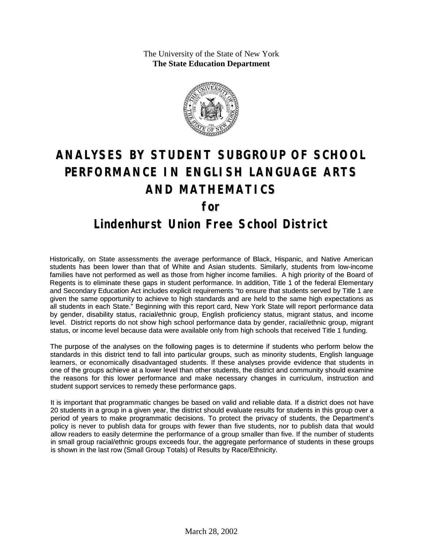The University of the State of New York **The State Education Department**



# **ANALYSES BY STUDENT SUBGROUP OF SCHOOL PERFORMANCE IN ENGLISH LANGUAGE ARTS AND MATHEMATICS for Lindenhurst Union Free School District**

Historically, on State assessments the average performance of Black, Hispanic, and Native American students has been lower than that of White and Asian students. Similarly, students from low-income families have not performed as well as those from higher income families. A high priority of the Board of Regents is to eliminate these gaps in student performance. In addition, Title 1 of the federal Elementary and Secondary Education Act includes explicit requirements "to ensure that students served by Title 1 are given the same opportunity to achieve to high standards and are held to the same high expectations as all students in each State." Beginning with this report card, New York State will report performance data by gender, disability status, racial/ethnic group, English proficiency status, migrant status, and income level. District reports do not show high school performance data by gender, racial/ethnic group, migrant status, or income level because data were available only from high schools that received Title 1 funding.

The purpose of the analyses on the following pages is to determine if students who perform below the standards in this district tend to fall into particular groups, such as minority students, English language learners, or economically disadvantaged students. If these analyses provide evidence that students in one of the groups achieve at a lower level than other students, the district and community should examine the reasons for this lower performance and make necessary changes in curriculum, instruction and student support services to remedy these performance gaps.

It is important that programmatic changes be based on valid and reliable data. If a district does not have 20 students in a group in a given year, the district should evaluate results for students in this group over a period of years to make programmatic decisions. To protect the privacy of students, the Department's policy is never to publish data for groups with fewer than five students, nor to publish data that would allow readers to easily determine the performance of a group smaller than five. If the number of students in small group racial/ethnic groups exceeds four, the aggregate performance of students in these groups is shown in the last row (Small Group Totals) of Results by Race/Ethnicity.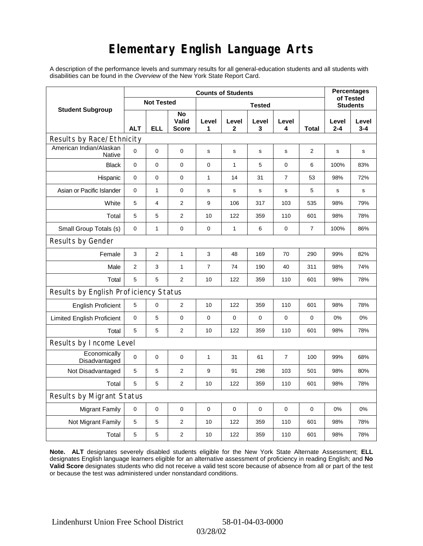## **Elementary English Language Arts**

A description of the performance levels and summary results for all general-education students and all students with disabilities can be found in the *Overview* of the New York State Report Card.

|                                          | <b>Counts of Students</b> |                   |                             |                |              |             |                |                 |              | <b>Percentages</b><br>of Tested |  |
|------------------------------------------|---------------------------|-------------------|-----------------------------|----------------|--------------|-------------|----------------|-----------------|--------------|---------------------------------|--|
| <b>Student Subgroup</b>                  |                           | <b>Not Tested</b> |                             |                |              |             |                | <b>Students</b> |              |                                 |  |
|                                          | <b>ALT</b>                | ELL               | No<br>Valid<br><b>Score</b> | Level<br>1     | Level<br>2   | Level<br>3  | Level<br>4     | Total           | Level<br>2-4 | Level<br>$3 - 4$                |  |
| Results by Race/Ethnicity                |                           |                   |                             |                |              |             |                |                 |              |                                 |  |
| American Indian/Alaskan<br><b>Native</b> | $\mathbf 0$               | 0                 | $\mathbf 0$                 | $\mathbf S$    | $\mathsf{s}$ | $\mathbf s$ | s              | 2               | $\mathbf S$  | s                               |  |
| <b>Black</b>                             | $\mathbf 0$               | 0                 | 0                           | 0              | $\mathbf{1}$ | 5           | 0              | 6               | 100%         | 83%                             |  |
| Hispanic                                 | 0                         | 0                 | $\pmb{0}$                   | 1              | 14           | 31          | $\overline{7}$ | 53              | 98%          | 72%                             |  |
| Asian or Pacific Islander                | 0                         | 1                 | 0                           | s              | s            | $\mathbf s$ | s              | 5               | s            | s                               |  |
| White                                    | 5                         | 4                 | $\overline{2}$              | 9              | 106          | 317         | 103            | 535             | 98%          | 79%                             |  |
| Total                                    | 5                         | 5                 | $\overline{2}$              | 10             | 122          | 359         | 110            | 601             | 98%          | 78%                             |  |
| Small Group Totals (s)                   | 0                         | 1                 | 0                           | 0              | $\mathbf{1}$ | 6           | 0              | $\overline{7}$  | 100%         | 86%                             |  |
| Results by Gender                        |                           |                   |                             |                |              |             |                |                 |              |                                 |  |
| Female                                   | 3                         | $\overline{2}$    | $\mathbf{1}$                | 3              | 48           | 169         | 70             | 290             | 99%          | 82%                             |  |
| Male                                     | 2                         | 3                 | $\mathbf{1}$                | $\overline{7}$ | 74           | 190         | 40             | 311             | 98%          | 74%                             |  |
| Total                                    | 5                         | 5                 | 2                           | 10             | 122          | 359         | 110            | 601             | 98%          | 78%                             |  |
| Results by English Proficiency Status    |                           |                   |                             |                |              |             |                |                 |              |                                 |  |
| <b>English Proficient</b>                | 5                         | 0                 | $\overline{2}$              | 10             | 122          | 359         | 110            | 601             | 98%          | 78%                             |  |
| <b>Limited English Proficient</b>        | 0                         | 5                 | $\pmb{0}$                   | 0              | $\mathbf 0$  | $\mathbf 0$ | $\mathbf 0$    | $\mathbf 0$     | 0%           | 0%                              |  |
| Total                                    | 5                         | 5                 | 2                           | 10             | 122          | 359         | 110            | 601             | 98%          | 78%                             |  |
| Results by Income Level                  |                           |                   |                             |                |              |             |                |                 |              |                                 |  |
| Economically<br>Disadvantaged            | $\mathbf 0$               | 0                 | $\mathbf 0$                 | 1              | 31           | 61          | 7              | 100             | 99%          | 68%                             |  |
| Not Disadvantaged                        | 5                         | 5                 | $\overline{2}$              | 9              | 91           | 298         | 103            | 501             | 98%          | 80%                             |  |
| Total                                    | 5                         | 5                 | $\mathbf{2}$                | 10             | 122          | 359         | 110            | 601             | 98%          | 78%                             |  |
| Results by Migrant Status                |                           |                   |                             |                |              |             |                |                 |              |                                 |  |
| <b>Migrant Family</b>                    | 0                         | 0                 | $\mathbf 0$                 | 0              | 0            | $\mathbf 0$ | 0              | 0               | 0%           | 0%                              |  |
| Not Migrant Family                       | 5                         | 5                 | $\overline{2}$              | 10             | 122          | 359         | 110            | 601             | 98%          | 78%                             |  |
| Total                                    | $\mathbf 5$               | 5                 | 2                           | 10             | 122          | 359         | 110            | 601             | 98%          | 78%                             |  |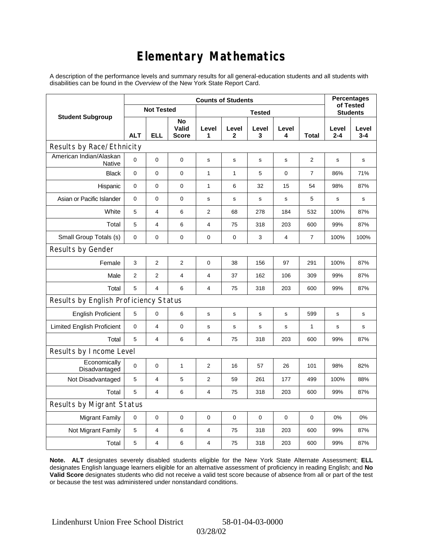## **Elementary Mathematics**

A description of the performance levels and summary results for all general-education students and all students with disabilities can be found in the *Overview* of the New York State Report Card.

|                                          | <b>Counts of Students</b> |                |                             |                |                 |             |             |                | <b>Percentages</b><br>of Tested |                  |
|------------------------------------------|---------------------------|----------------|-----------------------------|----------------|-----------------|-------------|-------------|----------------|---------------------------------|------------------|
| <b>Student Subgroup</b>                  | <b>Not Tested</b>         |                |                             |                | <b>Students</b> |             |             |                |                                 |                  |
|                                          | <b>ALT</b>                | <b>ELL</b>     | No<br>Valid<br><b>Score</b> | Level<br>1     | Level<br>2      | Level<br>3  | Level<br>4  | <b>Total</b>   | Level<br>$2 - 4$                | Level<br>$3 - 4$ |
| Results by Race/Ethnicity                |                           |                |                             |                |                 |             |             |                |                                 |                  |
| American Indian/Alaskan<br><b>Native</b> | 0                         | $\mathbf 0$    | $\mathbf 0$                 | s              | s               | s           | s           | 2              | s                               | s                |
| <b>Black</b>                             | 0                         | 0              | $\pmb{0}$                   | $\mathbf{1}$   | 1               | 5           | $\mathbf 0$ | 7              | 86%                             | 71%              |
| Hispanic                                 | 0                         | 0              | 0                           | 1              | 6               | 32          | 15          | 54             | 98%                             | 87%              |
| Asian or Pacific Islander                | 0                         | 0              | $\mathbf 0$                 | $\mathbf s$    | $\mathbf s$     | $\mathbf s$ | $\mathbf s$ | 5              | s                               | s                |
| White                                    | 5                         | 4              | 6                           | 2              | 68              | 278         | 184         | 532            | 100%                            | 87%              |
| Total                                    | 5                         | 4              | 6                           | 4              | 75              | 318         | 203         | 600            | 99%                             | 87%              |
| Small Group Totals (s)                   | $\mathbf 0$               | 0              | $\mathbf 0$                 | $\pmb{0}$      | $\mathbf 0$     | 3           | 4           | $\overline{7}$ | 100%                            | 100%             |
| Results by Gender                        |                           |                |                             |                |                 |             |             |                |                                 |                  |
| Female                                   | 3                         | $\overline{c}$ | $\overline{2}$              | $\pmb{0}$      | 38              | 156         | 97          | 291            | 100%                            | 87%              |
| Male                                     | $\overline{2}$            | $\overline{2}$ | $\overline{4}$              | 4              | 37              | 162         | 106         | 309            | 99%                             | 87%              |
| Total                                    | 5                         | 4              | 6                           | $\overline{4}$ | 75              | 318         | 203         | 600            | 99%                             | 87%              |
| Results by English Proficiency Status    |                           |                |                             |                |                 |             |             |                |                                 |                  |
| <b>English Proficient</b>                | 5                         | 0              | 6                           | $\mathbf s$    | S               | s           | s           | 599            | s                               | $\mathbf s$      |
| <b>Limited English Proficient</b>        | 0                         | 4              | $\mathbf 0$                 | s              | ${\tt S}$       | ${\tt S}$   | s           | $\mathbf{1}$   | s                               | s                |
| Total                                    | 5                         | 4              | 6                           | $\overline{4}$ | 75              | 318         | 203         | 600            | 99%                             | 87%              |
| Results by Income Level                  |                           |                |                             |                |                 |             |             |                |                                 |                  |
| Economically<br>Disadvantaged            | 0                         | 0              | $\mathbf{1}$                | $\overline{2}$ | 16              | 57          | 26          | 101            | 98%                             | 82%              |
| Not Disadvantaged                        | 5                         | 4              | 5                           | 2              | 59              | 261         | 177         | 499            | 100%                            | 88%              |
| Total                                    | 5                         | 4              | 6                           | $\overline{4}$ | 75              | 318         | 203         | 600            | 99%                             | 87%              |
| Results by Migrant Status                |                           |                |                             |                |                 |             |             |                |                                 |                  |
| <b>Migrant Family</b>                    | $\mathbf 0$               | 0              | $\pmb{0}$                   | $\pmb{0}$      | $\mathbf 0$     | 0           | 0           | $\mathbf 0$    | 0%                              | 0%               |
| Not Migrant Family                       | 5                         | 4              | 6                           | $\overline{4}$ | 75              | 318         | 203         | 600            | 99%                             | 87%              |
| Total                                    | 5                         | 4              | 6                           | $\overline{4}$ | 75              | 318         | 203         | 600            | 99%                             | 87%              |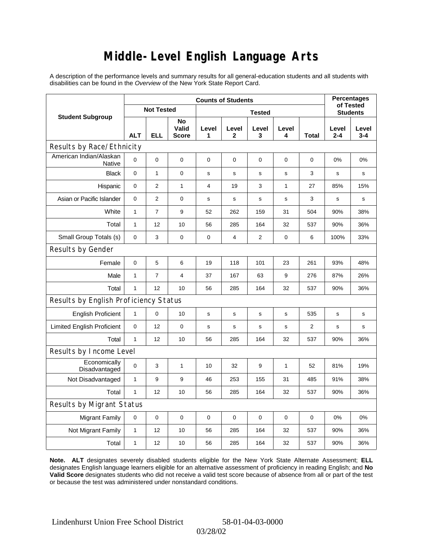### **Middle-Level English Language Arts**

A description of the performance levels and summary results for all general-education students and all students with disabilities can be found in the *Overview* of the New York State Report Card.

|                                          | <b>Counts of Students</b> |                |                             |             |                         |             |             |                 | <b>Percentages</b><br>of Tested |                  |
|------------------------------------------|---------------------------|----------------|-----------------------------|-------------|-------------------------|-------------|-------------|-----------------|---------------------------------|------------------|
| <b>Student Subgroup</b>                  | <b>Not Tested</b>         |                | <b>Tested</b>               |             |                         |             |             | <b>Students</b> |                                 |                  |
|                                          | <b>ALT</b>                | <b>ELL</b>     | No<br>Valid<br><b>Score</b> | Level<br>1  | Level<br>2              | Level<br>3  | Level<br>4  | <b>Total</b>    | Level<br>$2 - 4$                | Level<br>$3 - 4$ |
| Results by Race/Ethnicity                |                           |                |                             |             |                         |             |             |                 |                                 |                  |
| American Indian/Alaskan<br><b>Native</b> | 0                         | $\mathbf 0$    | $\mathbf 0$                 | $\mathbf 0$ | 0                       | 0           | 0           | 0               | 0%                              | 0%               |
| <b>Black</b>                             | 0                         | $\mathbf{1}$   | $\pmb{0}$                   | $\mathbf s$ | $\mathbf s$             | s           | $\mathbf s$ | 3               | s                               | s                |
| Hispanic                                 | 0                         | $\overline{2}$ | $\mathbf{1}$                | 4           | 19                      | 3           | 1           | 27              | 85%                             | 15%              |
| Asian or Pacific Islander                | $\mathbf 0$               | $\overline{2}$ | $\mathbf 0$                 | $\mathbf s$ | $\mathbf s$             | $\mathbf s$ | s           | 3               | s                               | s                |
| White                                    | $\mathbf{1}$              | $\overline{7}$ | 9                           | 52          | 262                     | 159         | 31          | 504             | 90%                             | 38%              |
| Total                                    | $\mathbf{1}$              | 12             | 10                          | 56          | 285                     | 164         | 32          | 537             | 90%                             | 36%              |
| Small Group Totals (s)                   | 0                         | 3              | $\mathbf 0$                 | $\pmb{0}$   | $\overline{\mathbf{4}}$ | 2           | 0           | 6               | 100%                            | 33%              |
| Results by Gender                        |                           |                |                             |             |                         |             |             |                 |                                 |                  |
| Female                                   | 0                         | 5              | 6                           | 19          | 118                     | 101         | 23          | 261             | 93%                             | 48%              |
| Male                                     | $\mathbf{1}$              | $\overline{7}$ | $\overline{4}$              | 37          | 167                     | 63          | 9           | 276             | 87%                             | 26%              |
| Total                                    | $\mathbf{1}$              | 12             | 10                          | 56          | 285                     | 164         | 32          | 537             | 90%                             | 36%              |
| Results by English Proficiency Status    |                           |                |                             |             |                         |             |             |                 |                                 |                  |
| <b>English Proficient</b>                | 1                         | 0              | 10                          | $\mathbf s$ | $\mathbf s$             | s           | s           | 535             | s                               | $\mathbf s$      |
| <b>Limited English Proficient</b>        | 0                         | 12             | $\mathbf 0$                 | s           | ${\tt S}$               | s           | s           | 2               | s                               | s                |
| Total                                    | $\mathbf{1}$              | 12             | 10                          | 56          | 285                     | 164         | 32          | 537             | 90%                             | 36%              |
| Results by Income Level                  |                           |                |                             |             |                         |             |             |                 |                                 |                  |
| Economically<br>Disadvantaged            | 0                         | 3              | $\mathbf{1}$                | 10          | 32                      | 9           | 1           | 52              | 81%                             | 19%              |
| Not Disadvantaged                        | 1                         | 9              | 9                           | 46          | 253                     | 155         | 31          | 485             | 91%                             | 38%              |
| Total                                    | $\mathbf{1}$              | 12             | 10                          | 56          | 285                     | 164         | 32          | 537             | 90%                             | 36%              |
| Results by Migrant Status                |                           |                |                             |             |                         |             |             |                 |                                 |                  |
| <b>Migrant Family</b>                    | $\mathbf 0$               | 0              | $\pmb{0}$                   | 0           | $\mathbf 0$             | 0           | 0           | $\mathbf 0$     | 0%                              | 0%               |
| Not Migrant Family                       | $\mathbf{1}$              | 12             | 10                          | 56          | 285                     | 164         | 32          | 537             | 90%                             | 36%              |
| Total                                    | 1                         | 12             | 10                          | 56          | 285                     | 164         | 32          | 537             | 90%                             | 36%              |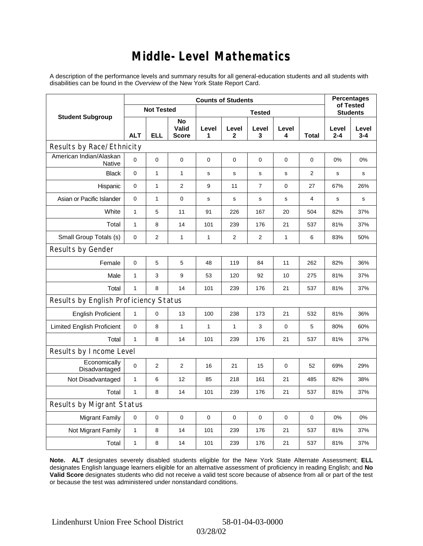### **Middle-Level Mathematics**

A description of the performance levels and summary results for all general-education students and all students with disabilities can be found in the *Overview* of the New York State Report Card.

|                                       | <b>Counts of Students</b> |                   |                             |              |                       |                 |             |              | <b>Percentages</b><br>of Tested |                  |
|---------------------------------------|---------------------------|-------------------|-----------------------------|--------------|-----------------------|-----------------|-------------|--------------|---------------------------------|------------------|
| <b>Student Subgroup</b>               |                           | <b>Not Tested</b> |                             |              |                       | <b>Students</b> |             |              |                                 |                  |
|                                       | <b>ALT</b>                | <b>ELL</b>        | No<br>Valid<br><b>Score</b> | Level<br>1   | Level<br>$\mathbf{2}$ | Level<br>3      | Level<br>4  | <b>Total</b> | Level<br>$2 - 4$                | Level<br>$3 - 4$ |
| Results by Race/Ethnicity             |                           |                   |                             |              |                       |                 |             |              |                                 |                  |
| American Indian/Alaskan<br>Native     | 0                         | $\overline{0}$    | 0                           | $\mathbf 0$  | 0                     | 0               | 0           | 0            | $0\%$                           | 0%               |
| <b>Black</b>                          | 0                         | $\mathbf{1}$      | $\mathbf{1}$                | $\mathbf s$  | $\mathbf s$           | s               | $\mathbf s$ | 2            | s                               | s                |
| Hispanic                              | 0                         | $\mathbf{1}$      | $\mathbf{2}$                | 9            | 11                    | 7               | $\mathbf 0$ | 27           | 67%                             | 26%              |
| Asian or Pacific Islander             | $\mathbf 0$               | $\mathbf{1}$      | $\mathbf 0$                 | $\mathbf s$  | S                     | $\mathbf s$     | s           | 4            | s                               | $\mathbf s$      |
| White                                 | $\mathbf{1}$              | 5                 | 11                          | 91           | 226                   | 167             | 20          | 504          | 82%                             | 37%              |
| Total                                 | $\mathbf{1}$              | 8                 | 14                          | 101          | 239                   | 176             | 21          | 537          | 81%                             | 37%              |
| Small Group Totals (s)                | $\mathbf 0$               | $\overline{2}$    | $\mathbf{1}$                | 1            | 2                     | 2               | 1           | 6            | 83%                             | 50%              |
| Results by Gender                     |                           |                   |                             |              |                       |                 |             |              |                                 |                  |
| Female                                | 0                         | 5                 | 5                           | 48           | 119                   | 84              | 11          | 262          | 82%                             | 36%              |
| Male                                  | 1                         | 3                 | 9                           | 53           | 120                   | 92              | 10          | 275          | 81%                             | 37%              |
| Total                                 | $\mathbf{1}$              | 8                 | 14                          | 101          | 239                   | 176             | 21          | 537          | 81%                             | 37%              |
| Results by English Proficiency Status |                           |                   |                             |              |                       |                 |             |              |                                 |                  |
| <b>English Proficient</b>             | $\mathbf{1}$              | 0                 | 13                          | 100          | 238                   | 173             | 21          | 532          | 81%                             | 36%              |
| <b>Limited English Proficient</b>     | 0                         | 8                 | $\mathbf{1}$                | $\mathbf{1}$ | $\mathbf{1}$          | 3               | $\mathbf 0$ | 5            | 80%                             | 60%              |
| Total                                 | $\mathbf{1}$              | 8                 | 14                          | 101          | 239                   | 176             | 21          | 537          | 81%                             | 37%              |
| Results by Income Level               |                           |                   |                             |              |                       |                 |             |              |                                 |                  |
| Economically<br>Disadvantaged         | $\mathbf 0$               | $\overline{2}$    | $\mathbf{2}$                | 16           | 21                    | 15              | 0           | 52           | 69%                             | 29%              |
| Not Disadvantaged                     | 1                         | 6                 | 12                          | 85           | 218                   | 161             | 21          | 485          | 82%                             | 38%              |
| Total                                 | $\mathbf{1}$              | 8                 | 14                          | 101          | 239                   | 176             | 21          | 537          | 81%                             | 37%              |
| Results by Migrant Status             |                           |                   |                             |              |                       |                 |             |              |                                 |                  |
| <b>Migrant Family</b>                 | $\mathbf 0$               | 0                 | $\pmb{0}$                   | 0            | $\mathbf 0$           | 0               | 0           | 0            | 0%                              | 0%               |
| Not Migrant Family                    | 1                         | 8                 | 14                          | 101          | 239                   | 176             | 21          | 537          | 81%                             | 37%              |
| Total                                 | 1                         | 8                 | 14                          | 101          | 239                   | 176             | 21          | 537          | 81%                             | 37%              |